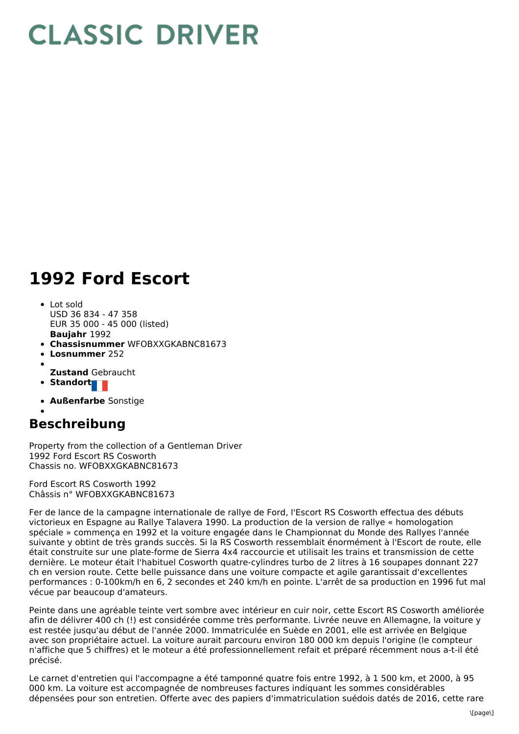## **CLASSIC DRIVER**

## **1992 Ford Escort**

- **Baujahr** 1992 Lot sold USD 36 834 - 47 358 EUR 35 000 - 45 000 (listed)
- **Chassisnummer** WFOBXXGKABNC81673
- **Losnummer** 252
- 
- **Zustand** Gebraucht
- Standort
- **Außenfarbe** Sonstige

## **Beschreibung**

Property from the collection of a Gentleman Driver 1992 Ford Escort RS Cosworth Chassis no. WFOBXXGKABNC81673

Ford Escort RS Cosworth 1992 Châssis n° WFOBXXGKABNC81673

Fer de lance de la campagne internationale de rallye de Ford, l'Escort RS Cosworth effectua des débuts victorieux en Espagne au Rallye Talavera 1990. La production de la version de rallye « homologation spéciale » commença en 1992 et la voiture engagée dans le Championnat du Monde des Rallyes l'année suivante y obtint de très grands succès. Si la RS Cosworth ressemblait énormément à l'Escort de route, elle était construite sur une plate-forme de Sierra 4x4 raccourcie et utilisait les trains et transmission de cette dernière. Le moteur était l'habituel Cosworth quatre-cylindres turbo de 2 litres à 16 soupapes donnant 227 ch en version route. Cette belle puissance dans une voiture compacte et agile garantissait d'excellentes performances : 0-100km/h en 6, 2 secondes et 240 km/h en pointe. L'arrêt de sa production en 1996 fut mal vécue par beaucoup d'amateurs.

Peinte dans une agréable teinte vert sombre avec intérieur en cuir noir, cette Escort RS Cosworth améliorée afin de délivrer 400 ch (!) est considérée comme très performante. Livrée neuve en Allemagne, la voiture y est restée jusqu'au début de l'année 2000. Immatriculée en Suède en 2001, elle est arrivée en Belgique avec son propriétaire actuel. La voiture aurait parcouru environ 180 000 km depuis l'origine (le compteur n'affiche que 5 chiffres) et le moteur a été professionnellement refait et préparé récemment nous a-t-il été précisé.

Le carnet d'entretien qui l'accompagne a été tamponné quatre fois entre 1992, à 1 500 km, et 2000, à 95 000 km. La voiture est accompagnée de nombreuses factures indiquant les sommes considérables dépensées pour son entretien. Offerte avec des papiers d'immatriculation suédois datés de 2016, cette rare